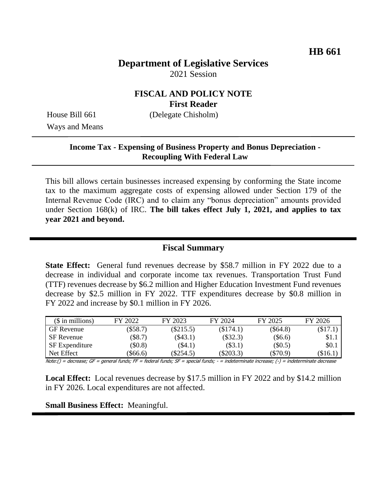# **Department of Legislative Services** 2021 Session

### **FISCAL AND POLICY NOTE First Reader**

Ways and Means

House Bill 661 (Delegate Chisholm)

#### **Income Tax - Expensing of Business Property and Bonus Depreciation - Recoupling With Federal Law**

This bill allows certain businesses increased expensing by conforming the State income tax to the maximum aggregate costs of expensing allowed under Section 179 of the Internal Revenue Code (IRC) and to claim any "bonus depreciation" amounts provided under Section 168(k) of IRC. **The bill takes effect July 1, 2021, and applies to tax year 2021 and beyond.**

### **Fiscal Summary**

**State Effect:** General fund revenues decrease by \$58.7 million in FY 2022 due to a decrease in individual and corporate income tax revenues. Transportation Trust Fund (TTF) revenues decrease by \$6.2 million and Higher Education Investment Fund revenues decrease by \$2.5 million in FY 2022. TTF expenditures decrease by \$0.8 million in FY 2022 and increase by \$0.1 million in FY 2026.

| $($$ in millions) | FY 2022    | FY 2023     | FY 2024     | FY 2025        | FY 2026 |
|-------------------|------------|-------------|-------------|----------------|---------|
| <b>GF</b> Revenue | $(\$58.7)$ | $(\$215.5)$ | (\$174.1)   | (\$64.8)       | \$17.1, |
| <b>SF</b> Revenue | $(\$8.7)$  | $(\$43.1)$  | $(\$32.3)$  | $(\$6.6)$      | \$1.1   |
| SF Expenditure    | \$0.8\$    | (\$4.1)     | $(\$3.1)$   | $(\$0.5)$      | \$0.1   |
| Net Effect        | \$66.6     | $(\$254.5)$ | $(\$203.3)$ | $($ \$70.9 $)$ | (\$16.1 |

Note:() = decrease; GF = general funds; FF = federal funds; SF = special funds; - = indeterminate increase; (-) = indeterminate decrease

**Local Effect:** Local revenues decrease by \$17.5 million in FY 2022 and by \$14.2 million in FY 2026. Local expenditures are not affected.

#### **Small Business Effect:** Meaningful.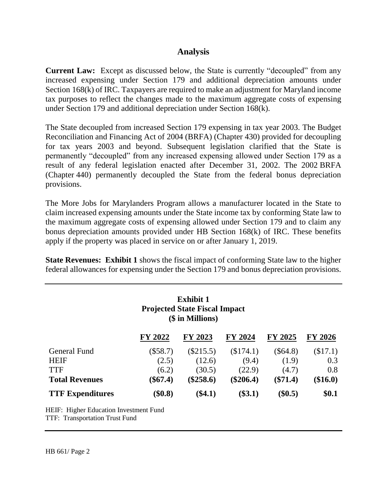### **Analysis**

**Current Law:** Except as discussed below, the State is currently "decoupled" from any increased expensing under Section 179 and additional depreciation amounts under Section 168(k) of IRC. Taxpayers are required to make an adjustment for Maryland income tax purposes to reflect the changes made to the maximum aggregate costs of expensing under Section 179 and additional depreciation under Section 168(k).

The State decoupled from increased Section 179 expensing in tax year 2003. The Budget Reconciliation and Financing Act of 2004 (BRFA) (Chapter 430) provided for decoupling for tax years 2003 and beyond. Subsequent legislation clarified that the State is permanently "decoupled" from any increased expensing allowed under Section 179 as a result of any federal legislation enacted after December 31, 2002. The 2002 BRFA (Chapter 440) permanently decoupled the State from the federal bonus depreciation provisions.

The More Jobs for Marylanders Program allows a manufacturer located in the State to claim increased expensing amounts under the State income tax by conforming State law to the maximum aggregate costs of expensing allowed under Section 179 and to claim any bonus depreciation amounts provided under HB Section 168(k) of IRC. These benefits apply if the property was placed in service on or after January 1, 2019.

**State Revenues: Exhibit 1** shows the fiscal impact of conforming State law to the higher federal allowances for expensing under the Section 179 and bonus depreciation provisions.

| <b>Exhibit 1</b><br><b>Projected State Fiscal Impact</b><br>(\$ in Millions) |            |             |                |                |                |  |  |  |
|------------------------------------------------------------------------------|------------|-------------|----------------|----------------|----------------|--|--|--|
|                                                                              | FY 2022    | FY 2023     | <b>FY 2024</b> | <b>FY 2025</b> | <b>FY 2026</b> |  |  |  |
| General Fund                                                                 | $(\$58.7)$ | $(\$215.5)$ | (\$174.1)      | $(\$64.8)$     | (\$17.1)       |  |  |  |
| HEIF                                                                         | (2.5)      | (12.6)      | (9.4)          | (1.9)          | 0.3            |  |  |  |
| <b>TTF</b>                                                                   | (6.2)      | (30.5)      | (22.9)         | (4.7)          | 0.8            |  |  |  |
| <b>Total Revenues</b>                                                        | $(\$67.4)$ | $(\$258.6)$ | $(\$206.4)$    | $(\$71.4)$     | $(\$16.0)$     |  |  |  |
| <b>TTF Expenditures</b>                                                      | \$0.8)     | $(\$4.1)$   | $(\$3.1)$      | $(\$0.5)$      | \$0.1          |  |  |  |

HEIF: Higher Education Investment Fund TTF: Transportation Trust Fund